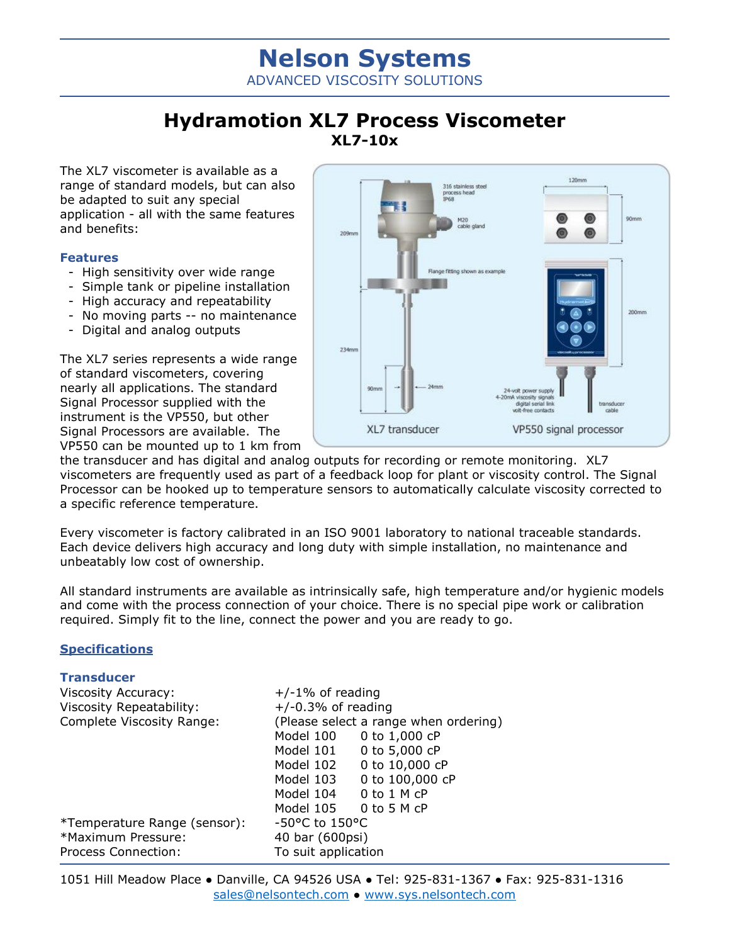# **Nelson Systems** ADVANCED VISCOSITY SOLUTIONS

## **Hydramotion XL7 Process Viscometer XL7-10x**

The XL7 viscometer is available as a range of standard models, but can also be adapted to suit any special application - all with the same features and benefits:

### **Features**

- High sensitivity over wide range
- Simple tank or pipeline installation
- High accuracy and repeatability
- No moving parts -- no maintenance
- Digital and analog outputs

The XL7 series represents a wide range of standard viscometers, covering nearly all applications. The standard Signal Processor supplied with the instrument is the VP550, but other Signal Processors are available. The VP550 can be mounted up to 1 km from



the transducer and has digital and analog outputs for recording or remote monitoring. XL7 viscometers are frequently used as part of a feedback loop for plant or viscosity control. The Signal Processor can be hooked up to temperature sensors to automatically calculate viscosity corrected to a specific reference temperature.

Every viscometer is factory calibrated in an ISO 9001 laboratory to national traceable standards. Each device delivers high accuracy and long duty with simple installation, no maintenance and unbeatably low cost of ownership.

All standard instruments are available as intrinsically safe, high temperature and/or hygienic models and come with the process connection of your choice. There is no special pipe work or calibration required. Simply fit to the line, connect the power and you are ready to go.

### **Specifications**

| <b>Transducer</b>            |                                       |                       |
|------------------------------|---------------------------------------|-----------------------|
| <b>Viscosity Accuracy:</b>   | $+/-1\%$ of reading                   |                       |
| Viscosity Repeatability:     | $+/-0.3%$ of reading                  |                       |
| Complete Viscosity Range:    | (Please select a range when ordering) |                       |
|                              | Model 100                             | 0 to 1,000 cP         |
|                              | Model 101                             | 0 to 5,000 cP         |
|                              | Model 102                             | 0 to 10,000 cP        |
|                              | Model 103                             | 0 to 100,000 cP       |
|                              | Model 104                             | $0$ to $1$ M $cP$     |
|                              |                                       | Model 105 0 to 5 M cP |
| *Temperature Range (sensor): | -50°C to 150°C                        |                       |
| *Maximum Pressure:           | 40 bar (600psi)                       |                       |
| Process Connection:          | To suit application                   |                       |